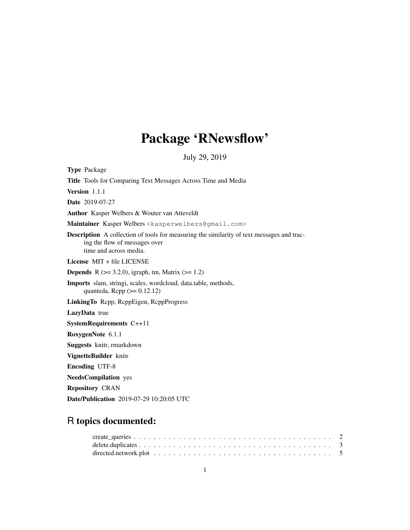# Package 'RNewsflow'

July 29, 2019

Type Package Title Tools for Comparing Text Messages Across Time and Media Version 1.1.1 Date 2019-07-27 Author Kasper Welbers & Wouter van Atteveldt Maintainer Kasper Welbers <kasperwelbers@gmail.com> Description A collection of tools for measuring the similarity of text messages and tracing the flow of messages over time and across media. License MIT + file LICENSE **Depends** R  $(>= 3.2.0)$ , igraph, tm, Matrix  $(>= 1.2)$ Imports slam, stringi, scales, wordcloud, data.table, methods, quanteda,  $\text{Rcpp} (> = 0.12.12)$ LinkingTo Rcpp, RcppEigen, RcppProgress LazyData true SystemRequirements C++11 RoxygenNote 6.1.1 Suggests knitr, rmarkdown VignetteBuilder knitr Encoding UTF-8 NeedsCompilation yes Repository CRAN Date/Publication 2019-07-29 10:20:05 UTC

## R topics documented: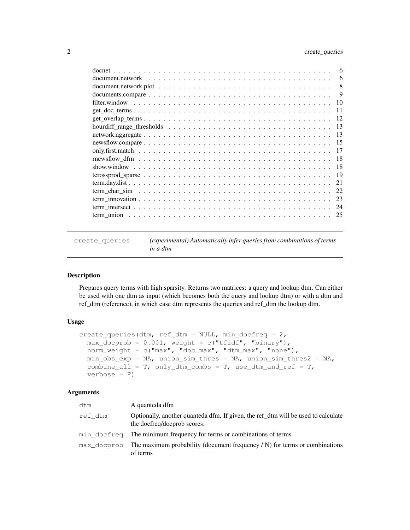| 6                                                                                                                        |
|--------------------------------------------------------------------------------------------------------------------------|
| 6                                                                                                                        |
| 8                                                                                                                        |
| 9<br>documents.compare $\dots \dots \dots \dots \dots \dots \dots \dots \dots \dots \dots \dots \dots \dots \dots \dots$ |
| 10                                                                                                                       |
| 11                                                                                                                       |
| -12                                                                                                                      |
| 13                                                                                                                       |
| 13                                                                                                                       |
| -15                                                                                                                      |
| 17                                                                                                                       |
| -18                                                                                                                      |
| -18                                                                                                                      |
| - 19                                                                                                                     |
| -21                                                                                                                      |
| 22                                                                                                                       |
| 23                                                                                                                       |
| 24                                                                                                                       |
| - 25                                                                                                                     |

create\_queries *(experimental) Automatically infer queries from combinations of terms in a dtm*

## Description

Prepares query terms with high sparsity. Returns two matrices: a query and lookup dtm. Can either be used with one dtm as input (which becomes both the query and lookup dtm) or with a dtm and ref\_dtm (reference), in which case dtm represents the queries and ref\_dtm the lookup dtm.

## Usage

```
create_queries(dtm, ref_dtm = NULL, min_docfreq = 2,
 max\_docprob = 0.001, weight = c("tfidf", "binary"),
 norm_weight = c("max", "doc_max", "dtm_max", "none"),
 min\_obs\_exp = NA, union_sim_thres = NA, union_sim_thres2 = NA,
 combine_all = T, only_dtm_combs = T, use_dtm_and_ref = T,
  verbose = F)
```

| dtm         | A quanteda dfm                                                                                                   |
|-------------|------------------------------------------------------------------------------------------------------------------|
| ref dtm     | Optionally, another quanteda dfm. If given, the ref_dtm will be used to calculate<br>the docfreq/docprob scores. |
|             | min docfreq The minimum frequency for terms or combinations of terms                                             |
| max docprob | The maximum probability (document frequency $/N$ ) for terms or combinations<br>of terms                         |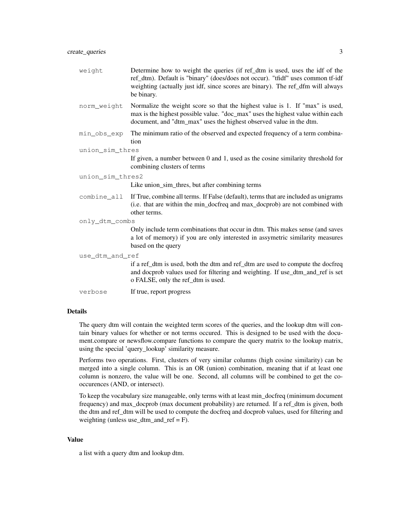| weight           | Determine how to weight the queries (if ref_dtm is used, uses the idf of the<br>ref_dtm). Default is "binary" (does/does not occur). "tfidf" uses common tf-idf<br>weighting (actually just idf, since scores are binary). The ref_dfm will always<br>be binary. |
|------------------|------------------------------------------------------------------------------------------------------------------------------------------------------------------------------------------------------------------------------------------------------------------|
| norm_weight      | Normalize the weight score so that the highest value is 1. If "max" is used,<br>max is the highest possible value. "doc_max" uses the highest value within each<br>document, and "dtm_max" uses the highest observed value in the dtm.                           |
| min obs exp      | The minimum ratio of the observed and expected frequency of a term combina-<br>tion                                                                                                                                                                              |
| union_sim_thres  |                                                                                                                                                                                                                                                                  |
|                  | If given, a number between 0 and 1, used as the cosine similarity threshold for<br>combining clusters of terms                                                                                                                                                   |
| union sim thres2 |                                                                                                                                                                                                                                                                  |
|                  | Like union_sim_thres, but after combining terms                                                                                                                                                                                                                  |
| combine all      | If True, combine all terms. If False (default), terms that are included as unigrams<br>(i.e. that are within the min_docfreq and max_docprob) are not combined with<br>other terms.                                                                              |
| only_dtm_combs   |                                                                                                                                                                                                                                                                  |
|                  | Only include term combinations that occur in dtm. This makes sense (and saves<br>a lot of memory) if you are only interested in assymetric similarity measures<br>based on the query                                                                             |
| use dtm and ref  |                                                                                                                                                                                                                                                                  |
|                  | if a ref_dtm is used, both the dtm and ref_dtm are used to compute the docfreq<br>and docprob values used for filtering and weighting. If use_dtm_and_ref is set<br>o FALSE, only the ref_dtm is used.                                                           |
| verbose          | If true, report progress                                                                                                                                                                                                                                         |

## Details

The query dtm will contain the weighted term scores of the queries, and the lookup dtm will contain binary values for whether or not terms occured. This is designed to be used with the document.compare or newsflow.compare functions to compare the query matrix to the lookup matrix, using the special 'query\_lookup' similarity measure.

Performs two operations. First, clusters of very similar columns (high cosine similarity) can be merged into a single column. This is an OR (union) combination, meaning that if at least one column is nonzero, the value will be one. Second, all columns will be combined to get the cooccurences (AND, or intersect).

To keep the vocabulary size manageable, only terms with at least min\_docfreq (minimum document frequency) and max\_docprob (max document probability) are returned. If a ref\_dtm is given, both the dtm and ref\_dtm will be used to compute the docfreq and docprob values, used for filtering and weighting (unless use\_dtm\_and\_ref = F).

#### Value

a list with a query dtm and lookup dtm.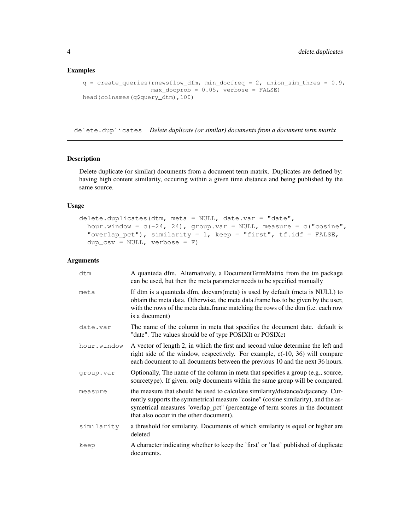## Examples

```
q = \text{create\_queries} (rnewsflow_dfm, min_docfreq = 2, union_sim_thres = 0.9,
                   max_docprob = 0.05, verbose = FALSE)
head(colnames(q$query_dtm),100)
```
delete.duplicates *Delete duplicate (or similar) documents from a document term matrix*

## Description

Delete duplicate (or similar) documents from a document term matrix. Duplicates are defined by: having high content similarity, occuring within a given time distance and being published by the same source.

## Usage

```
delete.duplicates(dtm, meta = NULL, date.var = "date",
 hour.window = c(-24, 24), group.var = NULL, measure = c("cosine","overlap_pct"), similarity = 1, keep = "first", tf.idf = FALSE,dup_csv = NULL, vertex = F)
```

| dtm         | A quanteda dfm. Alternatively, a DocumentTermMatrix from the tm package<br>can be used, but then the meta parameter needs to be specified manually                                                                                                                                               |
|-------------|--------------------------------------------------------------------------------------------------------------------------------------------------------------------------------------------------------------------------------------------------------------------------------------------------|
| meta        | If dtm is a quanteda dfm, docvars(meta) is used by default (meta is NULL) to<br>obtain the meta data. Otherwise, the meta data.frame has to be given by the user,<br>with the rows of the meta data.frame matching the rows of the dtm (i.e. each row<br>is a document)                          |
| date.var    | The name of the column in meta that specifies the document date. default is<br>"date". The values should be of type POSIXIt or POSIXct                                                                                                                                                           |
| hour.window | A vector of length 2, in which the first and second value determine the left and<br>right side of the window, respectively. For example, c(-10, 36) will compare<br>each document to all documents between the previous 10 and the next 36 hours.                                                |
| group.var   | Optionally, The name of the column in meta that specifies a group (e.g., source,<br>sourcetype). If given, only documents within the same group will be compared.                                                                                                                                |
| measure     | the measure that should be used to calculate similarity/distance/adjacency. Cur-<br>rently supports the symmetrical measure "cosine" (cosine similarity), and the as-<br>symetrical measures "overlap_pct" (percentage of term scores in the document<br>that also occur in the other document). |
| similarity  | a threshold for similarity. Documents of which similarity is equal or higher are<br>deleted                                                                                                                                                                                                      |
| keep        | A character indicating whether to keep the 'first' or 'last' published of duplicate<br>documents.                                                                                                                                                                                                |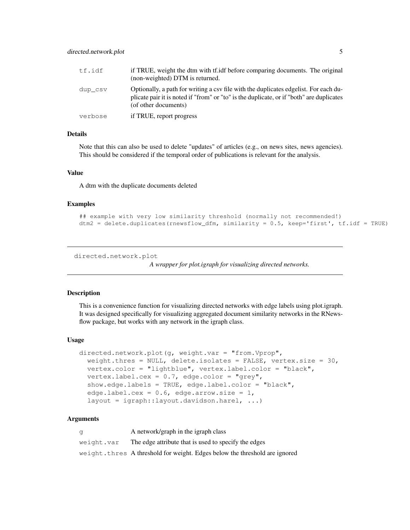| tf.idf  | if TRUE, weight the dtm with tf. idf before comparing documents. The original<br>(non-weighted) DTM is returned.                                                                                         |
|---------|----------------------------------------------------------------------------------------------------------------------------------------------------------------------------------------------------------|
| dup csv | Optionally, a path for writing a csy file with the duplicates edgelist. For each du-<br>plicate pair it is noted if "from" or "to" is the duplicate, or if "both" are duplicates<br>(of other documents) |
| verbose | if TRUE, report progress                                                                                                                                                                                 |

#### Details

Note that this can also be used to delete "updates" of articles (e.g., on news sites, news agencies). This should be considered if the temporal order of publications is relevant for the analysis.

#### Value

A dtm with the duplicate documents deleted

#### Examples

```
## example with very low similarity threshold (normally not recommended!)
dtm2 = delete.duplicates(rnewsflow_dfm, similarity = 0.5, keep='first', tf.idf = TRUE)
```

```
directed.network.plot
```

```
A wrapper for plot.igraph for visualizing directed networks.
```
#### Description

This is a convenience function for visualizing directed networks with edge labels using plot.igraph. It was designed specifically for visualizing aggregated document similarity networks in the RNewsflow package, but works with any network in the igraph class.

#### Usage

```
directed.network.plot(g, weight.var = "from.Vprop",
  weight.thres = NULL, delete.isolates = FALSE, vertex.size = 30,
 vertex.color = "lightblue", vertex.label.color = "black",
  vertex.label.cex = 0.7, edge.color = "grey",
  show.edge.labels = TRUE, edge.label.color = "black",
  edge.label.cex = 0.6, edge.arrow.size = 1,
  layout = igraph::layout.davidson.harel, ...)
```

| a          | A network/graph in the igraph class                                         |
|------------|-----------------------------------------------------------------------------|
| weight.var | The edge attribute that is used to specify the edges                        |
|            | weight. three A threshold for weight. Edges below the threshold are ignored |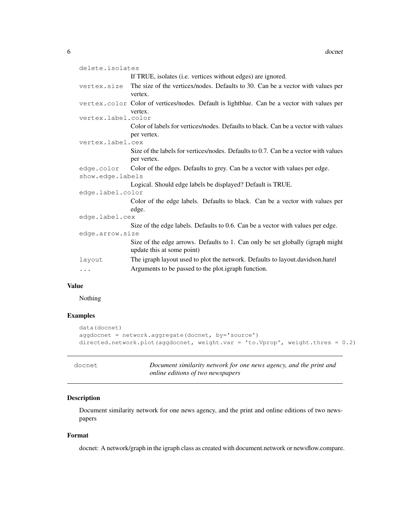| delete.isolates    |                                                                                                              |
|--------------------|--------------------------------------------------------------------------------------------------------------|
|                    | If TRUE, isolates (i.e. vertices without edges) are ignored.                                                 |
| vertex.size        | The size of the verticex/nodes. Defaults to 30. Can be a vector with values per                              |
|                    | vertex.                                                                                                      |
|                    | vertex.color Color of vertices/nodes. Default is lightblue. Can be a vector with values per                  |
|                    | vertex.                                                                                                      |
| vertex.label.color |                                                                                                              |
|                    | Color of labels for vertices/nodes. Defaults to black. Can be a vector with values                           |
|                    | per vertex.                                                                                                  |
| vertex.label.cex   |                                                                                                              |
|                    | Size of the labels for vertices/nodes. Defaults to 0.7. Can be a vector with values                          |
|                    | per vertex.                                                                                                  |
|                    | edge.color Color of the edges. Defaults to grey. Can be a vector with values per edge.                       |
| show.edge.labels   |                                                                                                              |
|                    | Logical. Should edge labels be displayed? Default is TRUE.                                                   |
| edge.label.color   |                                                                                                              |
|                    | Color of the edge labels. Defaults to black. Can be a vector with values per                                 |
|                    | edge.                                                                                                        |
| edge.label.cex     |                                                                                                              |
|                    | Size of the edge labels. Defaults to 0.6. Can be a vector with values per edge.                              |
| edge.arrow.size    |                                                                                                              |
|                    | Size of the edge arrows. Defaults to 1. Can only be set globally (igraph might<br>update this at some point) |
| layout             | The igraph layout used to plot the network. Defaults to layout.davidson.harel                                |
| $\cdots$           | Arguments to be passed to the plot.igraph function.                                                          |

## Value

Nothing

## Examples

```
data(docnet)
aggdocnet = network.aggregate(docnet, by='source')
directed.network.plot(aggdocnet, weight.var = 'to.Vprop', weight.thres = 0.2)
```
Document similarity network for one news agency, and the print and *online editions of two newspapers*

## Description

Document similarity network for one news agency, and the print and online editions of two newspapers

## Format

docnet: A network/graph in the igraph class as created with document.network or newsflow.compare.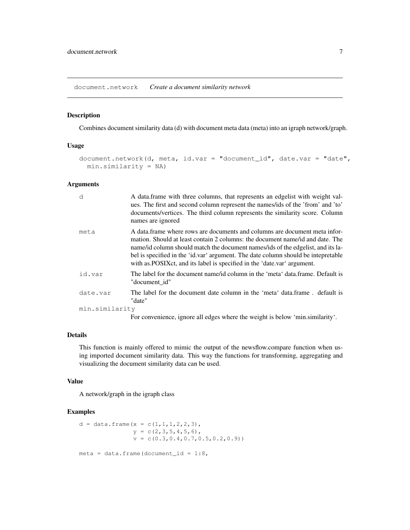document.network *Create a document similarity network*

## Description

Combines document similarity data (d) with document meta data (meta) into an igraph network/graph.

#### Usage

```
document.network(d, meta, id.var = "document_id", date.var = "date",
 min.similarity = NA)
```
## Arguments

| d              | A data.frame with three columns, that represents an edgelist with weight val-<br>ues. The first and second column represent the names/ids of the 'from' and 'to'<br>documents/vertices. The third column represents the similarity score. Column<br>names are ignored                                                                                                                                           |
|----------------|-----------------------------------------------------------------------------------------------------------------------------------------------------------------------------------------------------------------------------------------------------------------------------------------------------------------------------------------------------------------------------------------------------------------|
| meta           | A data frame where rows are documents and columns are document meta infor-<br>mation. Should at least contain 2 columns: the document name/id and date. The<br>name/id column should match the document names/ids of the edgelist, and its la-<br>bel is specified in the 'id.var' argument. The date column should be intepretable<br>with as POSIX ct, and its label is specified in the 'date var' argument. |
| id.var         | The label for the document name/id column in the 'meta' data.frame. Default is<br>"document id"                                                                                                                                                                                                                                                                                                                 |
| date.var       | The label for the document date column in the 'meta' data.frame, default is<br>"date"                                                                                                                                                                                                                                                                                                                           |
| min.similarity |                                                                                                                                                                                                                                                                                                                                                                                                                 |
|                | For convenience, ignore all edges where the weight is below 'min.similarity'.                                                                                                                                                                                                                                                                                                                                   |

## Details

This function is mainly offered to mimic the output of the newsflow.compare function when using imported document similarity data. This way the functions for transforming, aggregating and visualizing the document similarity data can be used.

#### Value

A network/graph in the igraph class

```
d = data. frame (x = c(1, 1, 1, 2, 2, 3),
                 y = c(2, 3, 5, 4, 5, 6),
                 v = c(0.3, 0.4, 0.7, 0.5, 0.2, 0.9)meta = data.frame(document_id = 1:8,
```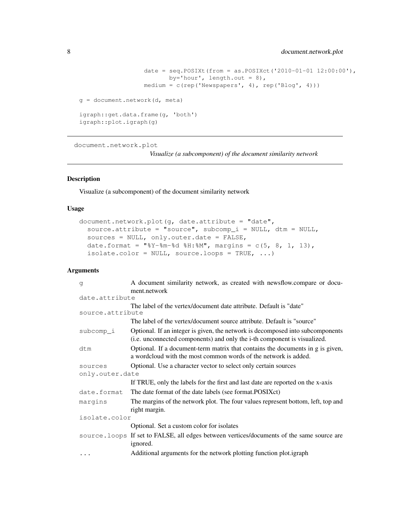```
date = seq.POSIXt(from = as.POSIXct('2010-01-01 12:00:00'),by='hour', length.out = 8),
                  medium = c(rep('Newspapers', 4), rep('Blog', 4)))
g = document.network(d, meta)
igraph::get.data.frame(g, 'both')
igraph::plot.igraph(g)
```
document.network.plot

*Visualize (a subcomponent) of the document similarity network*

#### Description

Visualize (a subcomponent) of the document similarity network

#### Usage

```
document.network.plot(g, date.attribute = "date",
  source.attribute = "source", subcomp_i = NULL, dtm = NULL,
  sources = NULL, only.outer.date = FALSE,
 date.format = N+8Y-8m-8d 8H:8M, margins = c(5, 8, 1, 13),
  isolate.color = NULL, source-loops = TRUE, ...)
```

| q                | A document similarity network, as created with newsflow.compare or docu-                                                                                   |
|------------------|------------------------------------------------------------------------------------------------------------------------------------------------------------|
|                  | ment.network                                                                                                                                               |
| date.attribute   |                                                                                                                                                            |
|                  | The label of the vertex/document date attribute. Default is "date"                                                                                         |
| source.attribute |                                                                                                                                                            |
|                  | The label of the vertex/document source attribute. Default is "source"                                                                                     |
| subcomp_i        | Optional. If an integer is given, the network is decomposed into subcomponents<br>(i.e. unconnected components) and only the i-th component is visualized. |
| dtm              | Optional. If a document-term matrix that contains the documents in g is given,<br>a wordcloud with the most common words of the network is added.          |
| sources          | Optional. Use a character vector to select only certain sources                                                                                            |
| only.outer.date  |                                                                                                                                                            |
|                  | If TRUE, only the labels for the first and last date are reported on the x-axis                                                                            |
| date.format      | The date format of the date labels (see format.POSIXct)                                                                                                    |
| marqins          | The margins of the network plot. The four values represent bottom, left, top and<br>right margin.                                                          |
| isolate.color    |                                                                                                                                                            |
|                  | Optional. Set a custom color for isolates                                                                                                                  |
|                  | source. loops If set to FALSE, all edges between vertices/documents of the same source are<br>ignored.                                                     |
| $\cdots$         | Additional arguments for the network plotting function plot.igraph                                                                                         |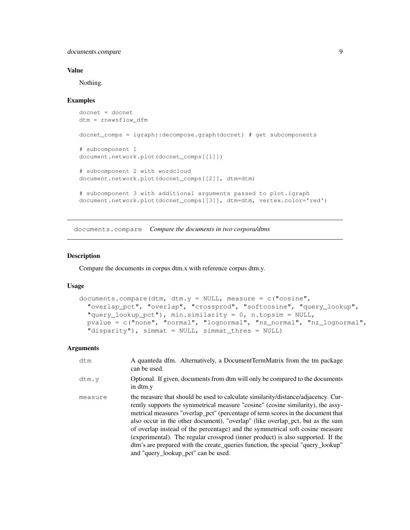documents.compare 9

#### Value

Nothing.

#### Examples

```
docnet = docnet
dtm = rnewsflow_dfm
docnet_comps = igraph::decompose.graph(docnet) # get subcomponents
# subcomponent 1
document.network.plot(docnet_comps[[1]])
# subcomponent 2 with wordcloud
document.network.plot(docnet_comps[[2]], dtm=dtm)
# subcomponent 3 with additional arguments passed to plot.igraph
document.network.plot(docnet_comps[[3]], dtm=dtm, vertex.color='red')
```
documents.compare *Compare the documents in two corpora/dtms*

#### Description

Compare the documents in corpus dtm.x with reference corpus dtm.y.

#### Usage

```
documents.compare(dtm, dtm.y = NULL, measure = c("cosine","overlap_pct", "overlap", "crossprod", "softcosine", "query_lookup",
  "query_lookup_pct"), min.similarity = 0, n.topsim = NULL,
 pvalue = c("none", "normal", "lognormal", "nz_normal", "nz_lognormal",
  "disparity"), simmat = NULL, simmat_thres = NULL)
```

| dtm     | A quanteda dfm. Alternatively, a DocumentTermMatrix from the tm package<br>can be used.                                                                                                                                                                                                                                                                                                                                                                                                                                                                                                                                                |
|---------|----------------------------------------------------------------------------------------------------------------------------------------------------------------------------------------------------------------------------------------------------------------------------------------------------------------------------------------------------------------------------------------------------------------------------------------------------------------------------------------------------------------------------------------------------------------------------------------------------------------------------------------|
| dtm.y   | Optional. If given, documents from dtm will only be compared to the documents<br>in dtm.y                                                                                                                                                                                                                                                                                                                                                                                                                                                                                                                                              |
| measure | the measure that should be used to calculate similarity/distance/adjacency. Cur-<br>rently supports the symmetrical measure "cosine" (cosine similarity), the assy-<br>metrical measures "overlap_pct" (percentage of term scores in the document that<br>also occur in the other document), "overlap" (like overlap pct, but as the sum<br>of overlap instead of the percentage) and the symmetrical soft cosine measure<br>(experimental). The regular crossprod (inner product) is also supported. If the<br>dtm's are prepared with the create_queries function, the special "query_lookup"<br>and "query_lookup_pct" can be used. |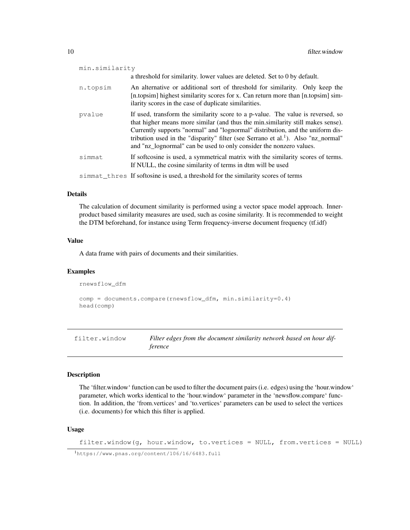| min.similarity |                                                                                                                                                                                                                                                                                                                                                                                                                              |
|----------------|------------------------------------------------------------------------------------------------------------------------------------------------------------------------------------------------------------------------------------------------------------------------------------------------------------------------------------------------------------------------------------------------------------------------------|
|                | a threshold for similarity. lower values are deleted. Set to 0 by default.                                                                                                                                                                                                                                                                                                                                                   |
| n.topsim       | An alternative or additional sort of threshold for similarity. Only keep the<br>[n.topsim] highest similarity scores for x. Can return more than [n.topsim] sim-<br>ilarity scores in the case of duplicate similarities.                                                                                                                                                                                                    |
| pvalue         | If used, transform the similarity score to a p-value. The value is reversed, so<br>that higher means more similar (and thus the min.similarity still makes sense).<br>Currently supports "normal" and "lognormal" distribution, and the uniform dis-<br>tribution used in the "disparity" filter (see Serrano et al. <sup>1</sup> ). Also "nz_normal"<br>and "nz_lognormal" can be used to only consider the nonzero values. |
| simmat         | If softcosine is used, a symmetrical matrix with the similarity scores of terms.<br>If NULL, the cosine similarity of terms in dtm will be used                                                                                                                                                                                                                                                                              |
|                | simmat thres If softosine is used, a threshold for the similarity scores of terms                                                                                                                                                                                                                                                                                                                                            |

#### Details

The calculation of document similarity is performed using a vector space model approach. Innerproduct based similarity measures are used, such as cosine similarity. It is recommended to weight the DTM beforehand, for instance using Term frequency-inverse document frequency (tf.idf)

#### Value

A data frame with pairs of documents and their similarities.

#### Examples

```
rnewsflow_dfm
comp = documents.compare(rnewsflow_dfm, min.similarity=0.4)
head(comp)
```
filter.window *Filter edges from the document similarity network based on hour difference*

#### Description

The 'filter.window' function can be used to filter the document pairs (i.e. edges) using the 'hour.window' parameter, which works identical to the 'hour.window' parameter in the 'newsflow.compare' function. In addition, the 'from.vertices' and 'to.vertices' parameters can be used to select the vertices (i.e. documents) for which this filter is applied.

## Usage

filter.window( $q$ , hour.window, to.vertices = NULL, from.vertices = NULL)

<sup>1</sup>https://www.pnas.org/content/106/16/6483.full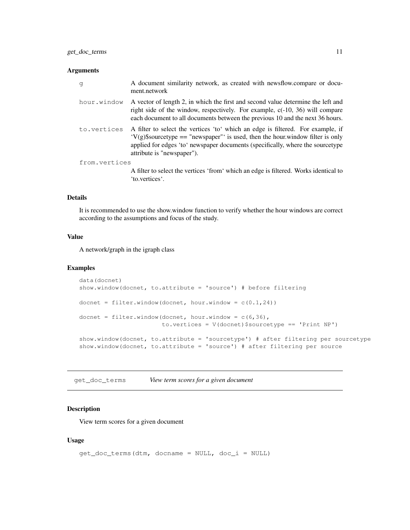## Arguments

| q             | A document similarity network, as created with newsflow.compare or docu-<br>ment.network                                                                                                                                                                                           |
|---------------|------------------------------------------------------------------------------------------------------------------------------------------------------------------------------------------------------------------------------------------------------------------------------------|
| hour.window   | A vector of length 2, in which the first and second value determine the left and<br>right side of the window, respectively. For example, $c(-10, 36)$ will compare<br>each document to all documents between the previous 10 and the next 36 hours.                                |
| to.vertices   | A filter to select the vertices 'to' which an edge is filtered. For example, if<br>$V(g)$ \$sourcetype == "newspaper" is used, then the hour window filter is only<br>applied for edges 'to' newspaper documents (specifically, where the sourcetype<br>attribute is "newspaper"). |
| from.vertices |                                                                                                                                                                                                                                                                                    |
|               | A filter to select the vertices 'from' which an edge is filtered. Works identical to<br>'to.vertices'.                                                                                                                                                                             |

#### Details

It is recommended to use the show.window function to verify whether the hour windows are correct according to the assumptions and focus of the study.

#### Value

A network/graph in the igraph class

#### Examples

```
data(docnet)
show.window(docnet, to.attribute = 'source') # before filtering
docnet = filter.window(docnet, hour.window = c(0.1, 24))
docnet = filter.window(docnet, hour.window = c(6,36),
                       to.vertices = V(docnet)$sourcetype == 'Print NP')
show.window(docnet, to.attribute = 'sourcetype') # after filtering per sourcetype
show.window(docnet, to.attribute = 'source') # after filtering per source
```
get\_doc\_terms *View term scores for a given document*

## Description

View term scores for a given document

#### Usage

```
get_doc_terms(dtm, docname = NULL, doc_i = NULL)
```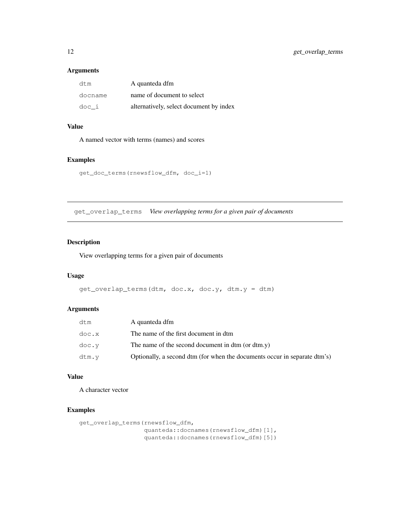## Arguments

| dtm     | A quanteda dfm                          |
|---------|-----------------------------------------|
| docname | name of document to select              |
| doc i   | alternatively, select document by index |

## Value

A named vector with terms (names) and scores

## Examples

```
get_doc_terms(rnewsflow_dfm, doc_i=1)
```
get\_overlap\_terms *View overlapping terms for a given pair of documents*

## Description

View overlapping terms for a given pair of documents

#### Usage

```
get\_overlap\_terms (dtm, doc.x, doc.y, dtm.y = dtm)
```
## Arguments

| dtm   | A quanteda dfm                                                            |
|-------|---------------------------------------------------------------------------|
| doc.x | The name of the first document in dtm                                     |
| doc.v | The name of the second document in dtm (or dtm.y)                         |
| dtm.v | Optionally, a second dtm (for when the documents occur in separate dtm's) |

## Value

A character vector

```
get_overlap_terms(rnewsflow_dfm,
                  quanteda::docnames(rnewsflow_dfm)[1],
                  quanteda::docnames(rnewsflow_dfm)[5])
```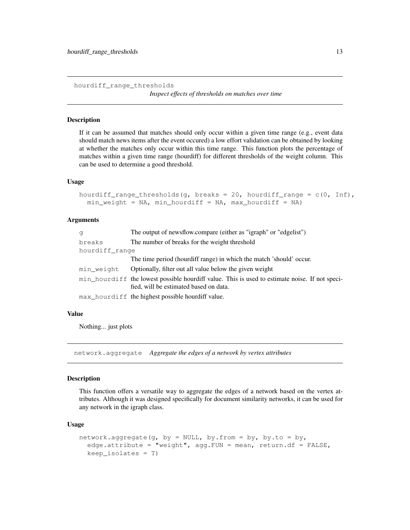hourdiff\_range\_thresholds

*Inspect effects of thresholds on matches over time*

#### Description

If it can be assumed that matches should only occur within a given time range (e.g., event data should match news items after the event occured) a low effort validation can be obtained by looking at whether the matches only occur within this time range. This function plots the percentage of matches within a given time range (hourdiff) for different thresholds of the weight column. This can be used to determine a good threshold.

#### Usage

```
hourdiff_range_thresholds(g, breaks = 20, hourdiff_range = c(0, \text{Inf}),
  min\_weight = NA, min\_hourdiff = NA, max\_hourdiff = NA
```
#### Arguments

| q              | The output of newsflow.compare (either as "igraph" or "edgelist")                                                                        |
|----------------|------------------------------------------------------------------------------------------------------------------------------------------|
| breaks         | The number of breaks for the weight threshold                                                                                            |
| hourdiff range |                                                                                                                                          |
|                | The time period (hourdiff range) in which the match 'should' occur.                                                                      |
| min weight     | Optionally, filter out all value below the given weight                                                                                  |
|                | min_hourdiff the lowest possible hourdiff value. This is used to estimate noise. If not speci-<br>fied, will be estimated based on data. |
|                | max_hourdiff the highest possible hourdiff value.                                                                                        |

#### Value

Nothing... just plots

network.aggregate *Aggregate the edges of a network by vertex attributes*

#### **Description**

This function offers a versatile way to aggregate the edges of a network based on the vertex attributes. Although it was designed specifically for document similarity networks, it can be used for any network in the igraph class.

#### Usage

```
network.aggregate(g, by = NULL, by.from = by, by.to = by,
  edge.attribute = "weight", agg.FUN = mean, return.df = FALSE,
  keep_isolates = T)
```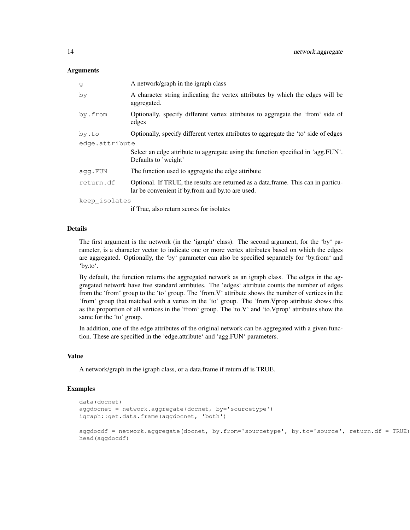#### Arguments

| q              | A network/graph in the igraph class                                                                                                   |  |
|----------------|---------------------------------------------------------------------------------------------------------------------------------------|--|
| by             | A character string indicating the vertex attributes by which the edges will be<br>aggregated.                                         |  |
| by.from        | Optionally, specify different vertex attributes to aggregate the 'from' side of<br>edges                                              |  |
| by.to          | Optionally, specify different vertex attributes to aggregate the 'to' side of edges                                                   |  |
| edge.attribute |                                                                                                                                       |  |
|                | Select an edge attribute to aggregate using the function specified in 'agg.FUN'.<br>Defaults to 'weight'                              |  |
| agg.FUN        | The function used to aggregate the edge attribute                                                                                     |  |
| return.df      | Optional. If TRUE, the results are returned as a data.frame. This can in particu-<br>lar be convenient if by from and by to are used. |  |
| keep isolates  |                                                                                                                                       |  |
|                |                                                                                                                                       |  |

if True, also return scores for isolates

## Details

The first argument is the network (in the 'igraph' class). The second argument, for the 'by' parameter, is a character vector to indicate one or more vertex attributes based on which the edges are aggregated. Optionally, the 'by' parameter can also be specified separately for 'by.from' and 'by.to'.

By default, the function returns the aggregated network as an igraph class. The edges in the aggregated network have five standard attributes. The 'edges' attribute counts the number of edges from the 'from' group to the 'to' group. The 'from.V' attribute shows the number of vertices in the 'from' group that matched with a vertex in the 'to' group. The 'from.Vprop attribute shows this as the proportion of all vertices in the 'from' group. The 'to.V' and 'to.Vprop' attributes show the same for the 'to' group.

In addition, one of the edge attributes of the original network can be aggregated with a given function. These are specified in the 'edge.attribute' and 'agg.FUN' parameters.

#### Value

A network/graph in the igraph class, or a data.frame if return.df is TRUE.

```
data(docnet)
aggdocnet = network.aggregate(docnet, by='sourcetype')
igraph::get.data.frame(aggdocnet, 'both')
```

```
aggdocdf = network.aggregate(docnet, by.from='sourcetype', by.to='source', return.df = TRUE)
head(aggdocdf)
```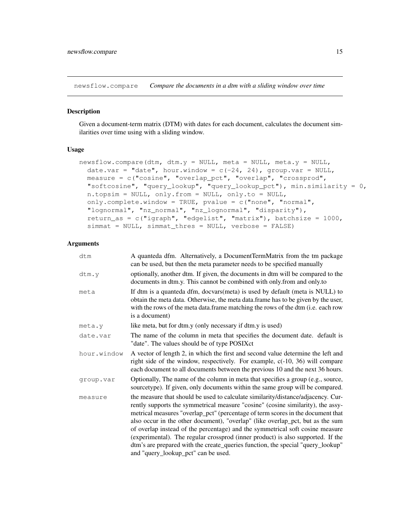newsflow.compare *Compare the documents in a dtm with a sliding window over time*

#### Description

Given a document-term matrix (DTM) with dates for each document, calculates the document similarities over time using with a sliding window.

#### Usage

```
newsflow.compare(dtm, dtm.y = NULL, meta = NULL, meta.y = NULL,
  date.var = "date", hour.window = c(-24, 24), group.var = NULL,
 measure = c("cosine", "overlap_pct", "overlap", "crossprod",
  "softcosine", "query_lookup", "query_lookup_pct"), min.similarity = 0,
  n.topsim = NULL, only.from = NULL, only.to = NULL,
  only.complete.window = TRUE, pvalue = c("none", "normal",
  "lognormal", "nz_normal", "nz_lognormal", "disparity"),
  return_as = c("igraph", "edgelist", "matrix"), batchsize = 1000,
  simmat = NULL, simmat_thres = NULL, verbose = FALSE)
```

| dtm         | A quanteda dfm. Alternatively, a DocumentTermMatrix from the tm package<br>can be used, but then the meta parameter needs to be specified manually                                                                                                                                                                                                                                                                                                                                                                                                                                                                                     |
|-------------|----------------------------------------------------------------------------------------------------------------------------------------------------------------------------------------------------------------------------------------------------------------------------------------------------------------------------------------------------------------------------------------------------------------------------------------------------------------------------------------------------------------------------------------------------------------------------------------------------------------------------------------|
| dtm.v       | optionally, another dtm. If given, the documents in dtm will be compared to the<br>documents in dtm.y. This cannot be combined with only.from and only.to                                                                                                                                                                                                                                                                                                                                                                                                                                                                              |
| meta        | If dtm is a quanteda dfm, docvars(meta) is used by default (meta is NULL) to<br>obtain the meta data. Otherwise, the meta data.frame has to be given by the user,<br>with the rows of the meta data.frame matching the rows of the dtm (i.e. each row<br>is a document)                                                                                                                                                                                                                                                                                                                                                                |
| meta.y      | like meta, but for dtm.y (only necessary if dtm.y is used)                                                                                                                                                                                                                                                                                                                                                                                                                                                                                                                                                                             |
| date.var    | The name of the column in meta that specifies the document date. default is<br>"date". The values should be of type POSIXct                                                                                                                                                                                                                                                                                                                                                                                                                                                                                                            |
| hour.window | A vector of length 2, in which the first and second value determine the left and<br>right side of the window, respectively. For example, $c(-10, 36)$ will compare<br>each document to all documents between the previous 10 and the next 36 hours.                                                                                                                                                                                                                                                                                                                                                                                    |
| group.var   | Optionally, The name of the column in meta that specifies a group (e.g., source,<br>sourcetype). If given, only documents within the same group will be compared.                                                                                                                                                                                                                                                                                                                                                                                                                                                                      |
| measure     | the measure that should be used to calculate similarity/distance/adjacency. Cur-<br>rently supports the symmetrical measure "cosine" (cosine similarity), the assy-<br>metrical measures "overlap_pct" (percentage of term scores in the document that<br>also occur in the other document), "overlap" (like overlap_pct, but as the sum<br>of overlap instead of the percentage) and the symmetrical soft cosine measure<br>(experimental). The regular crossprod (inner product) is also supported. If the<br>dtm's are prepared with the create_queries function, the special "query_lookup"<br>and "query_lookup_pct" can be used. |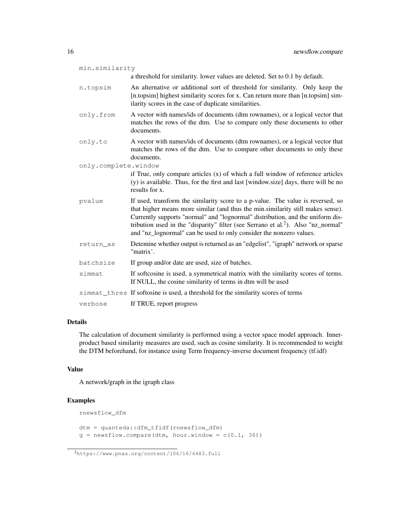| min.similarity       |                                                                                                                                                                                                                                                                                                                                                                                                                              |  |
|----------------------|------------------------------------------------------------------------------------------------------------------------------------------------------------------------------------------------------------------------------------------------------------------------------------------------------------------------------------------------------------------------------------------------------------------------------|--|
|                      | a threshold for similarity. lower values are deleted. Set to 0.1 by default.                                                                                                                                                                                                                                                                                                                                                 |  |
| n.topsim             | An alternative or additional sort of threshold for similarity. Only keep the<br>[n.topsim] highest similarity scores for x. Can return more than [n.topsim] sim-<br>ilarity scores in the case of duplicate similarities.                                                                                                                                                                                                    |  |
| only.from            | A vector with names/ids of documents (dtm rownames), or a logical vector that<br>matches the rows of the dtm. Use to compare only these documents to other<br>documents.                                                                                                                                                                                                                                                     |  |
| only.to              | A vector with names/ids of documents (dtm rownames), or a logical vector that<br>matches the rows of the dtm. Use to compare other documents to only these<br>documents.                                                                                                                                                                                                                                                     |  |
| only.complete.window |                                                                                                                                                                                                                                                                                                                                                                                                                              |  |
|                      | if True, only compare articles (x) of which a full window of reference articles<br>(y) is available. Thus, for the first and last [window.size] days, there will be no<br>results for x.                                                                                                                                                                                                                                     |  |
| pvalue               | If used, transform the similarity score to a p-value. The value is reversed, so<br>that higher means more similar (and thus the min.similarity still makes sense).<br>Currently supports "normal" and "lognormal" distribution, and the uniform dis-<br>tribution used in the "disparity" filter (see Serrano et al. <sup>2</sup> ). Also "nz_normal"<br>and "nz_lognormal" can be used to only consider the nonzero values. |  |
| return_as            | Detemine whether output is returned as an "edgelist", "igraph" network or sparse<br>"matrix'.                                                                                                                                                                                                                                                                                                                                |  |
| batchsize            | If group and/or date are used, size of batches.                                                                                                                                                                                                                                                                                                                                                                              |  |
| simmat               | If softcosine is used, a symmetrical matrix with the similarity scores of terms.<br>If NULL, the cosine similarity of terms in dtm will be used                                                                                                                                                                                                                                                                              |  |
|                      | simmat_thres If softosine is used, a threshold for the similarity scores of terms                                                                                                                                                                                                                                                                                                                                            |  |
| verbose              | If TRUE, report progress                                                                                                                                                                                                                                                                                                                                                                                                     |  |

## Details

The calculation of document similarity is performed using a vector space model approach. Innerproduct based similarity measures are used, such as cosine similarity. It is recommended to weight the DTM beforehand, for instance using Term frequency-inverse document frequency (tf.idf)

## Value

A network/graph in the igraph class

```
rnewsflow_dfm
```

```
dtm = quanteda::dfm_tfidf(rnewsflow_dfm)
q = newsflow.compare(dtm, hour.window = c(0.1, 36))
```
<sup>2</sup>https://www.pnas.org/content/106/16/6483.full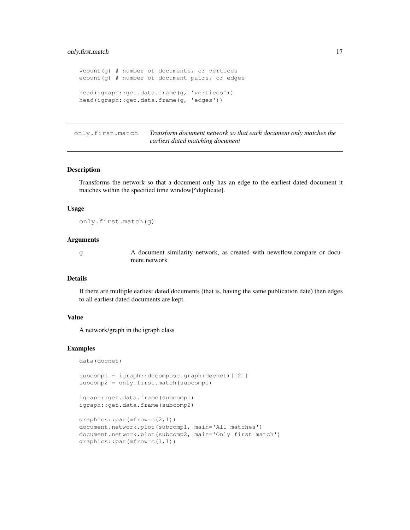```
vcount(g) # number of documents, or vertices
ecount(g) # number of document pairs, or edges
head(igraph::get.data.frame(g, 'vertices'))
head(igraph::get.data.frame(g, 'edges'))
```
only.first.match *Transform document network so that each document only matches the earliest dated matching document*

#### Description

Transforms the network so that a document only has an edge to the earliest dated document it matches within the specified time window[^duplicate].

#### Usage

only.first.match(g)

#### Arguments

g A document similarity network, as created with newsflow.compare or document.network

#### Details

If there are multiple earliest dated documents (that is, having the same publication date) then edges to all earliest dated documents are kept.

## Value

A network/graph in the igraph class

```
data(docnet)
```

```
subcomp1 = igraph::decompose.graph(docnet)[[2]]
subcomp2 = only.first.match(subcomp1)
igraph::get.data.frame(subcomp1)
igraph::get.data.frame(subcomp2)
graphics::par(mfrow=c(2,1))
document.network.plot(subcomp1, main='All matches')
document.network.plot(subcomp2, main='Only first match')
```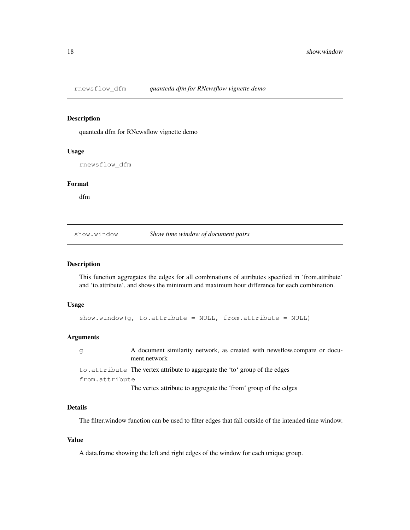#### Description

quanteda dfm for RNewsflow vignette demo

#### Usage

rnewsflow\_dfm

#### Format

dfm

show.window *Show time window of document pairs*

## Description

This function aggregates the edges for all combinations of attributes specified in 'from.attribute' and 'to.attribute', and shows the minimum and maximum hour difference for each combination.

#### Usage

show.window(g, to.attribute =  $NULL$ , from.attribute =  $NULL$ )

#### Arguments

g A document similarity network, as created with newsflow.compare or document.network to.attribute The vertex attribute to aggregate the 'to' group of the edges from.attribute The vertex attribute to aggregate the 'from' group of the edges

#### Details

The filter.window function can be used to filter edges that fall outside of the intended time window.

#### Value

A data.frame showing the left and right edges of the window for each unique group.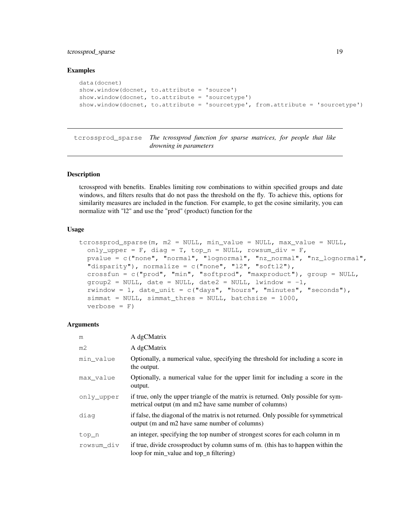## tcrossprod\_sparse 19

#### Examples

```
data(docnet)
show.window(docnet, to.attribute = 'source')
show.window(docnet, to.attribute = 'sourcetype')
show.window(docnet, to.attribute = 'sourcetype', from.attribute = 'sourcetype')
```
tcrossprod\_sparse *The tcrossprod function for sparse matrices, for people that like drowning in parameters*

#### Description

tcrossprod with benefits. Enables limiting row combinations to within specified groups and date windows, and filters results that do not pass the threshold on the fly. To achieve this, options for similarity measures are included in the function. For example, to get the cosine similarity, you can normalize with "l2" and use the "prod" (product) function for the

#### Usage

```
tcrossprod_sparse(m, m2 = NULL, min_value = NULL, max_value = NULL,
  only_upper = F, diag = T, top_n = NULL, rowsum_div = F,
  pvalue = c("none", "normal", "lognormal", "nz_normal", "nz_lognormal",
  "disparity"), normalize = c("none", "l2", "softl2"),
 crossfun = c("prod", "min", "softprod", "maxproduct"), group = NULL,group2 = NULL, date = NULL, date2 = NULL, limitow = -1,rwindow = 1, date_unit = c("days", "hours", "minutes", "seconds",simat = NULL, simmat\_thres = NULL, batchesize = 1000,verbose = F)
```

| m              | A dgCMatrix                                                                                                                                  |
|----------------|----------------------------------------------------------------------------------------------------------------------------------------------|
| m <sub>2</sub> | A dgCMatrix                                                                                                                                  |
| min value      | Optionally, a numerical value, specifying the threshold for including a score in<br>the output.                                              |
| max value      | Optionally, a numerical value for the upper limit for including a score in the<br>output.                                                    |
| only upper     | if true, only the upper triangle of the matrix is returned. Only possible for sym-<br>metrical output (m and m2 have same number of columns) |
| diag           | if false, the diagonal of the matrix is not returned. Only possible for symmetrical<br>output (m and m2 have same number of columns)         |
| top_n          | an integer, specifying the top number of strongest scores for each column in m                                                               |
| rowsum div     | if true, divide crossproduct by column sums of m. (this has to happen within the<br>loop for min_value and top_n filtering)                  |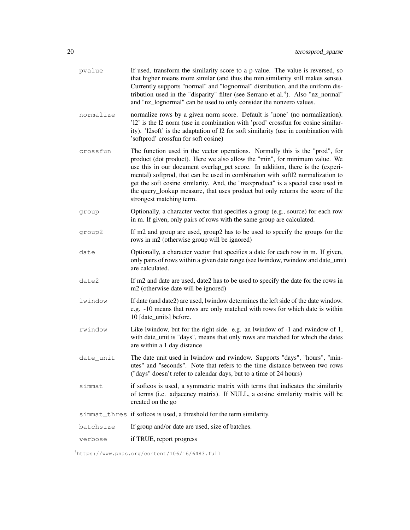| pvalue    | If used, transform the similarity score to a p-value. The value is reversed, so<br>that higher means more similar (and thus the min.similarity still makes sense).<br>Currently supports "normal" and "lognormal" distribution, and the uniform dis-<br>tribution used in the "disparity" filter (see Serrano et al. <sup>3</sup> ). Also "nz_normal"<br>and "nz_lognormal" can be used to only consider the nonzero values.                                                                                                   |
|-----------|--------------------------------------------------------------------------------------------------------------------------------------------------------------------------------------------------------------------------------------------------------------------------------------------------------------------------------------------------------------------------------------------------------------------------------------------------------------------------------------------------------------------------------|
| normalize | normalize rows by a given norm score. Default is 'none' (no normalization).<br>'12' is the 12 norm (use in combination with 'prod' crossfun for cosine similar-<br>ity). 'l2soft' is the adaptation of 12 for soft similarity (use in combination with<br>'softprod' crossfun for soft cosine)                                                                                                                                                                                                                                 |
| crossfun  | The function used in the vector operations. Normally this is the "prod", for<br>product (dot product). Here we also allow the "min", for minimum value. We<br>use this in our document overlap_pct score. In addition, there is the (experi-<br>mental) softprod, that can be used in combination with soft12 normalization to<br>get the soft cosine similarity. And, the "maxproduct" is a special case used in<br>the query_lookup measure, that uses product but only returns the score of the<br>strongest matching term. |
| group     | Optionally, a character vector that specifies a group (e.g., source) for each row<br>in m. If given, only pairs of rows with the same group are calculated.                                                                                                                                                                                                                                                                                                                                                                    |
| group2    | If m2 and group are used, group2 has to be used to specify the groups for the<br>rows in m2 (otherwise group will be ignored)                                                                                                                                                                                                                                                                                                                                                                                                  |
| date      | Optionally, a character vector that specifies a date for each row in m. If given,<br>only pairs of rows within a given date range (see lwindow, rwindow and date_unit)<br>are calculated.                                                                                                                                                                                                                                                                                                                                      |
| date2     | If m2 and date are used, date2 has to be used to specify the date for the rows in<br>m2 (otherwise date will be ignored)                                                                                                                                                                                                                                                                                                                                                                                                       |
| lwindow   | If date (and date2) are used, lwindow determines the left side of the date window.<br>e.g. -10 means that rows are only matched with rows for which date is within<br>10 [date_units] before.                                                                                                                                                                                                                                                                                                                                  |
| rwindow   | Like lwindow, but for the right side. e.g. an lwindow of -1 and rwindow of 1,<br>with date_unit is "days", means that only rows are matched for which the dates<br>are within a 1 day distance                                                                                                                                                                                                                                                                                                                                 |
| date_unit | The date unit used in lwindow and rwindow. Supports "days", "hours", "min-<br>utes" and "seconds". Note that refers to the time distance between two rows<br>("days" doesn't refer to calendar days, but to a time of 24 hours)                                                                                                                                                                                                                                                                                                |
| simmat    | if softcos is used, a symmetric matrix with terms that indicates the similarity<br>of terms (i.e. adjacency matrix). If NULL, a cosine similarity matrix will be<br>created on the go                                                                                                                                                                                                                                                                                                                                          |
|           | simmat_thres if softcos is used, a threshold for the term similarity.                                                                                                                                                                                                                                                                                                                                                                                                                                                          |
| batchsize | If group and/or date are used, size of batches.                                                                                                                                                                                                                                                                                                                                                                                                                                                                                |
| verbose   | if TRUE, report progress                                                                                                                                                                                                                                                                                                                                                                                                                                                                                                       |

<sup>3</sup>https://www.pnas.org/content/106/16/6483.full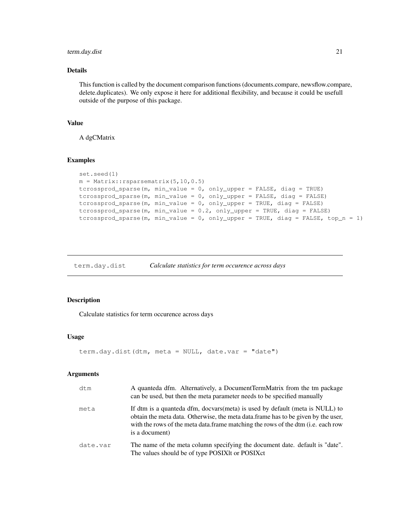## term.day.dist 21

## Details

This function is called by the document comparison functions (documents.compare, newsflow.compare, delete.duplicates). We only expose it here for additional flexibility, and because it could be usefull outside of the purpose of this package.

#### Value

A dgCMatrix

#### Examples

```
set.seed(1)
m = Matrix::rsparsematrix(i, 10, 0.5)tcrossprod_sparse(m, min_value = 0, only_upper = FALSE, diag = TRUE)
tcrossprod_sparse(m, min_value = 0, only_upper = FALSE, diag = FALSE)
tcrossprod_sparse(m, min_value = 0, only_upper = TRUE, diag = FALSE)
tcrossprod_sparse(m, min_value = 0.2, only_upper = TRUE, diag = FALSE)
tcrossprod_sparse(m, min_value = 0, only_upper = TRUE, diag = FALSE, top_n = 1)
```
term.day.dist *Calculate statistics for term occurence across days*

## Description

Calculate statistics for term occurence across days

#### Usage

```
term.day.dist(dtm, meta = NULL, date.var = "date")
```

| dtm      | A quanteda dfm. Alternatively, a DocumentTermMatrix from the tm package<br>can be used, but then the meta parameter needs to be specified manually                                                                                                                               |
|----------|----------------------------------------------------------------------------------------------------------------------------------------------------------------------------------------------------------------------------------------------------------------------------------|
| meta     | If dtm is a quanteda dfm, docvars(meta) is used by default (meta is NULL) to<br>obtain the meta data. Otherwise, the meta data.frame has to be given by the user,<br>with the rows of the meta data. frame matching the rows of the dtm ( <i>i.e.</i> each row<br>is a document) |
| date.var | The name of the meta column specifying the document date. default is "date".<br>The values should be of type POSIXIt or POSIXct                                                                                                                                                  |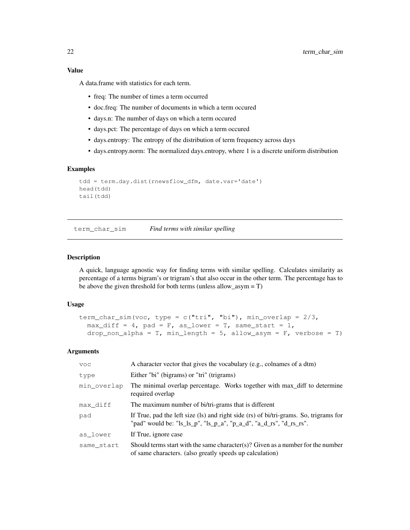## Value

A data.frame with statistics for each term.

- freq: The number of times a term occurred
- doc.freq: The number of documents in which a term occured
- days.n: The number of days on which a term occured
- days.pct: The percentage of days on which a term occured
- days.entropy: The entropy of the distribution of term frequency across days
- days.entropy.norm: The normalized days.entropy, where 1 is a discrete uniform distribution

## Examples

```
tdd = term.day.dist(rnewsflow_dfm, date.var='date')
head(tdd)
tail(tdd)
```
term\_char\_sim *Find terms with similar spelling*

## Description

A quick, language agnostic way for finding terms with similar spelling. Calculates similarity as percentage of a terms bigram's or trigram's that also occur in the other term. The percentage has to be above the given threshold for both terms (unless allow\_asym = T)

#### Usage

```
term_char_sim(voc, type = c("tri", "bi"), min_overlap = 2/3,max\_diff = 4, pad = F, as\_lower = T, same\_start = 1,
 drop_non_alpha = T, min_length = 5, allow_asym = F, verbose = T)
```

| <b>VOC</b>  | A character vector that gives the vocabulary (e.g., colnames of a dtm)                                                                                                                     |
|-------------|--------------------------------------------------------------------------------------------------------------------------------------------------------------------------------------------|
| type        | Either "bi" (bigrams) or "tri" (trigrams)                                                                                                                                                  |
| min overlap | The minimal overlap percentage. Works together with max_diff to determine<br>required overlap                                                                                              |
| max diff    | The maximum number of bi/tri-grams that is different                                                                                                                                       |
| pad         | If True, pad the left size (ls) and right side (rs) of bi/tri-grams. So, trigrams for<br>"pad" would be: " $ls\,[s]$ ", " $ls\,[p\]$ ", " $p\,[a\]$ d", " $a\,[d\]$ rs", " $d\,[rs\]$ rs". |
| as lower    | If True, ignore case                                                                                                                                                                       |
| same start  | Should terms start with the same character(s)? Given as a number for the number<br>of same characters. (also greatly speeds up calculation)                                                |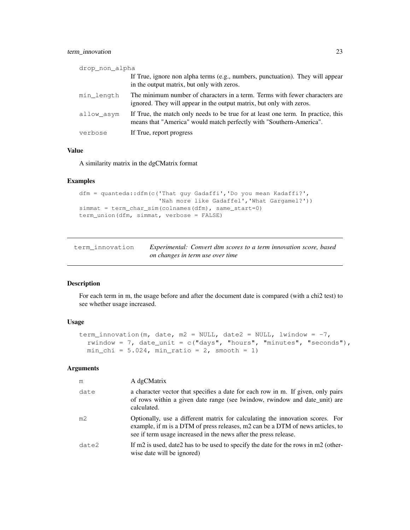## term\_innovation 23

| drop non alpha |                                                                                                                                                          |
|----------------|----------------------------------------------------------------------------------------------------------------------------------------------------------|
|                | If True, ignore non alpha terms (e.g., numbers, punctuation). They will appear<br>in the output matrix, but only with zeros.                             |
| min length     | The minimum number of characters in a term. Terms with fewer characters are<br>ignored. They will appear in the output matrix, but only with zeros.      |
| allow asym     | If True, the match only needs to be true for at least one term. In practice, this<br>means that "America" would match perfectly with "Southern-America". |
| verbose        | If True, report progress                                                                                                                                 |

## Value

A similarity matrix in the dgCMatrix format

## Examples

```
dfm = quanteda::dfm(c('That guy Gadaffi','Do you mean Kadaffi?',
                      'Nah more like Gadaffel', 'What Gargamel?'))
simmat = term_char_sim(colnames(dfm), same_start=0)
term_union(dfm, simmat, verbose = FALSE)
```

| term innovation | Experimental: Convert dtm scores to a term innovation score, based |  |
|-----------------|--------------------------------------------------------------------|--|
|                 | on changes in term use over time                                   |  |

## Description

For each term in m, the usage before and after the document date is compared (with a chi2 test) to see whether usage increased.

## Usage

```
term_innovation(m, date, m2 = NULL, date2 = NULL, lwindow = -7,
 rwindow = 7, date_unit = c("days", "hours", "minutes", "seconds"),min_chi = 5.024, min_ratio = 2, smooth = 1)
```

| m              | A dgCMatrix                                                                                                                                                                                                                         |
|----------------|-------------------------------------------------------------------------------------------------------------------------------------------------------------------------------------------------------------------------------------|
| date           | a character vector that specifies a date for each row in m. If given, only pairs<br>of rows within a given date range (see lwindow, rwindow and date_unit) are<br>calculated.                                                       |
| m <sub>2</sub> | Optionally, use a different matrix for calculating the innovation scores. For<br>example, if m is a DTM of press releases, m2 can be a DTM of news articles, to<br>see if term usage increased in the news after the press release. |
| date2          | If m2 is used, date 2 has to be used to specify the date for the rows in m2 (other-<br>wise date will be ignored)                                                                                                                   |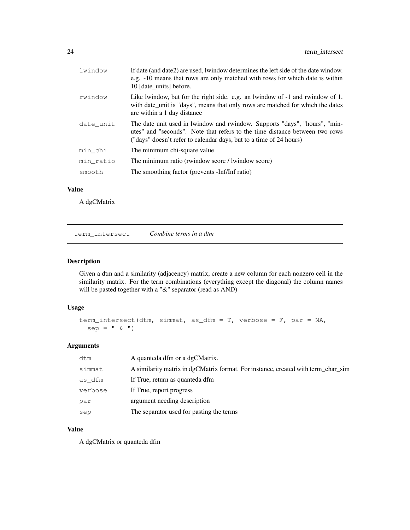| lwindow   | If date (and date2) are used, lwindow determines the left side of the date window.<br>e.g. -10 means that rows are only matched with rows for which date is within<br>10 [date units] before.                                   |
|-----------|---------------------------------------------------------------------------------------------------------------------------------------------------------------------------------------------------------------------------------|
| rwindow   | Like lwindow, but for the right side. e.g. an lwindow of -1 and rwindow of 1,<br>with date unit is "days", means that only rows are matched for which the dates<br>are within a 1 day distance                                  |
| date unit | The date unit used in lwindow and rwindow. Supports "days", "hours", "min-<br>utes" and "seconds". Note that refers to the time distance between two rows<br>("days" doesn't refer to calendar days, but to a time of 24 hours) |
| min chi   | The minimum chi-square value                                                                                                                                                                                                    |
| min ratio | The minimum ratio (rwindow score / lwindow score)                                                                                                                                                                               |
| smooth    | The smoothing factor (prevents -Inf/Inf ratio)                                                                                                                                                                                  |

## Value

A dgCMatrix

term\_intersect *Combine terms in a dtm*

## Description

Given a dtm and a similarity (adjacency) matrix, create a new column for each nonzero cell in the similarity matrix. For the term combinations (everything except the diagonal) the column names will be pasted together with a "&" separator (read as AND)

#### Usage

```
term_intersect(dtm, simmat, as_dfm = T, verbose = F, par = NA,
  sep = " \& "')
```
## Arguments

| dtm     | A quanteda dfm or a dgCMatrix.                                                    |
|---------|-----------------------------------------------------------------------------------|
| simmat  | A similarity matrix in dgCMatrix format. For instance, created with term char sim |
| as dfm  | If True, return as quanteda dfm                                                   |
| verbose | If True, report progress                                                          |
| par     | argument needing description                                                      |
| sep     | The separator used for pasting the terms                                          |

## Value

A dgCMatrix or quanteda dfm